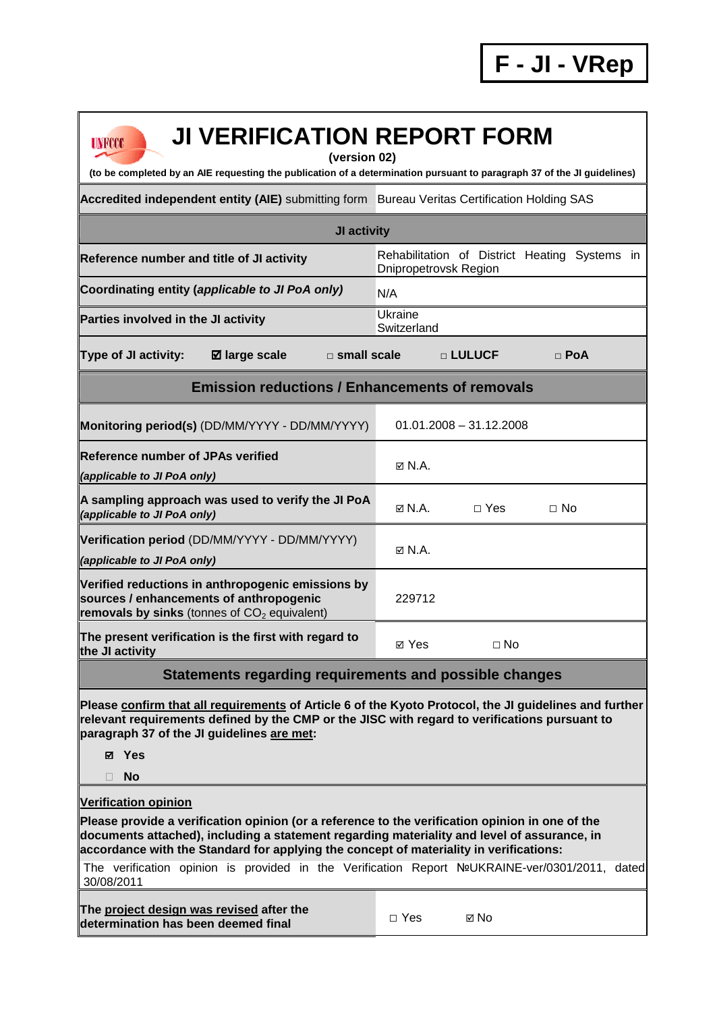Rehabilitation of District Heating Systems in

| UNFOOT<br>UI YLINII IVATIVII INLI VINT TVINII<br>(version 02)<br>(to be completed by an AIE requesting the publication of a determination pursuant to paragraph 37 of the JI g |                                                                |  |  |  |
|--------------------------------------------------------------------------------------------------------------------------------------------------------------------------------|----------------------------------------------------------------|--|--|--|
| Accredited independent entity (AIE) submitting form Bureau Veritas Certification Holding SAS                                                                                   |                                                                |  |  |  |
| JI activity                                                                                                                                                                    |                                                                |  |  |  |
| Reference number and title of JI activity                                                                                                                                      | Rehabilitation of District Heating Sy<br>Dnipropetrovsk Region |  |  |  |
| Coordinating entity (applicable to JI PoA only)                                                                                                                                | N/A                                                            |  |  |  |
| Parties involved in the JI activity                                                                                                                                            | Ukraine<br>Switzerland                                         |  |  |  |
| Type of JI activity:<br>$\boxtimes$ large scale<br>$\square$ small scale                                                                                                       | □ LULUCF<br>$\Box$ PoA                                         |  |  |  |
| <b>Emission reductions / Enhancements of removals</b>                                                                                                                          |                                                                |  |  |  |
| Monitoring period(s) (DD/MM/YYYY - DD/MM/YYYY)                                                                                                                                 | $01.01.2008 - 31.12.2008$                                      |  |  |  |
| Reference number of JPAs verified                                                                                                                                              |                                                                |  |  |  |

## **JI VERIFICATION REPORT FORM**

**of a determination pursuant to paragraph 37 of the JI guidelines)** 

**Monitoring period(s)** (DD/MM/YYYY - DD/MM/YYYY) 01.01.2008 – 31.12.2008 **Reference number of JPAs verified (applicable to JI PoA only)** N.A. **A sampling approach was used to verify the JI PoA □ Yes □ No**<br>*(applicable to JI PoA only)* **Verification period** (DD/MM/YYYY - DD/MM/YYYY) **(applicable to JI PoA only)** N.A. **Verified reductions in anthropogenic emissions by sources / enhancements of anthropogenic removals by sinks** (tonnes of CO<sub>2</sub> equivalent) 229712 **The present verification is the first with regard to <br>the JI activity** 

## **Statements regarding requirements and possible changes**

**Please confirm that all requirements of Article 6 of the Kyoto Protocol, the JI guidelines and further relevant requirements defined by the CMP or the JISC with regard to verifications pursuant to paragraph 37 of the JI guidelines are met:** 

- **Yes**
- **No**

**Verification opinion**

**Please provide a verification opinion (or a reference to the verification opinion in one of the documents attached), including a statement regarding materiality and level of assurance, in accordance with the Standard for applying the concept of materiality in verifications:** 

The verification opinion is provided in the Verification Report №UKRAINE-ver/0301/2011, dated 30/08/2011

**The project design was revised after the determination has been deemed final** □ Yes 
□ No